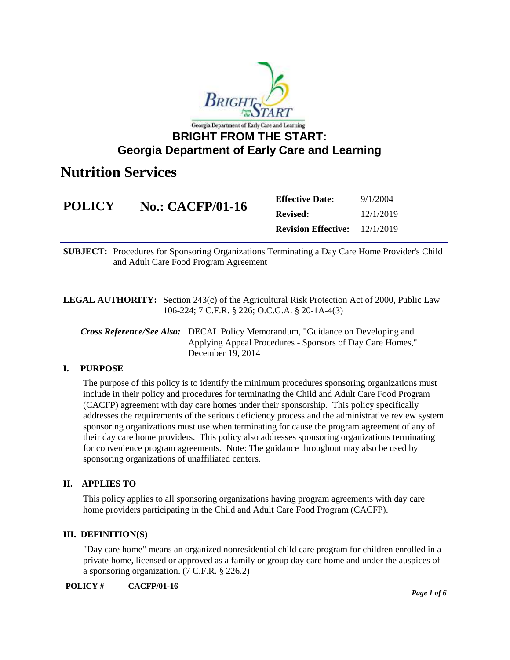

| <b>POLICY</b> | <b>No.: CACFP/01-16</b> | <b>Effective Date:</b>     | 9/1/2004  |
|---------------|-------------------------|----------------------------|-----------|
|               |                         | <b>Revised:</b>            | 12/1/2019 |
|               |                         | <b>Revision Effective:</b> | 12/1/2019 |

**SUBJECT:** Procedures for Sponsoring Organizations Terminating a Day Care Home Provider's Child and Adult Care Food Program Agreement

**LEGAL AUTHORITY:** Section 243(c) of the Agricultural Risk Protection Act of 2000, Public Law 106-224; 7 C.F.R. § 226; O.C.G.A. § 20-1A-4(3)

*Cross Reference/See Also:* DECAL Policy Memorandum, "Guidance on Developing and Applying Appeal Procedures - Sponsors of Day Care Homes," December 19, 2014

### **I. PURPOSE**

The purpose of this policy is to identify the minimum procedures sponsoring organizations must include in their policy and procedures for terminating the Child and Adult Care Food Program (CACFP) agreement with day care homes under their sponsorship. This policy specifically addresses the requirements of the serious deficiency process and the administrative review system sponsoring organizations must use when terminating for cause the program agreement of any of their day care home providers. This policy also addresses sponsoring organizations terminating for convenience program agreements. Note: The guidance throughout may also be used by sponsoring organizations of unaffiliated centers.

### **II. APPLIES TO**

This policy applies to all sponsoring organizations having program agreements with day care home providers participating in the Child and Adult Care Food Program (CACFP).

#### **III. DEFINITION(S)**

"Day care home" means an organized nonresidential child care program for children enrolled in a private home, licensed or approved as a family or group day care home and under the auspices of a sponsoring organization. (7 C.F.R. § 226.2)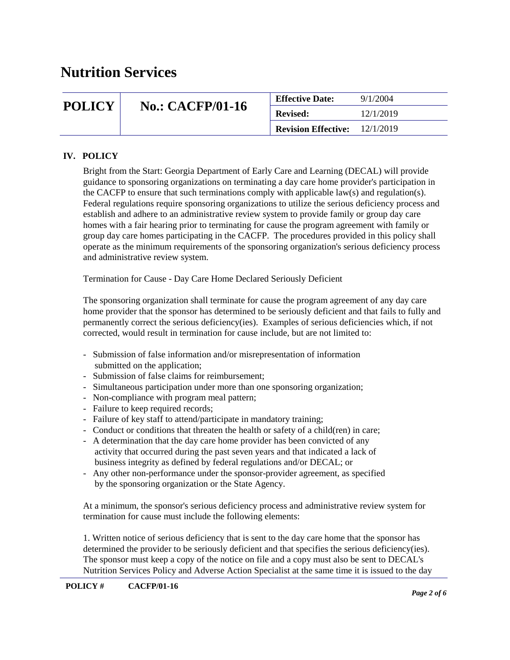| <b>POLICY</b> | <b>No.: CACFP/01-16</b> | <b>Effective Date:</b>     | 9/1/2004  |
|---------------|-------------------------|----------------------------|-----------|
|               |                         | <b>Revised:</b>            | 12/1/2019 |
|               |                         | <b>Revision Effective:</b> | 12/1/2019 |

### **IV. POLICY**

Bright from the Start: Georgia Department of Early Care and Learning (DECAL) will provide guidance to sponsoring organizations on terminating a day care home provider's participation in the CACFP to ensure that such terminations comply with applicable law(s) and regulation(s). Federal regulations require sponsoring organizations to utilize the serious deficiency process and establish and adhere to an administrative review system to provide family or group day care homes with a fair hearing prior to terminating for cause the program agreement with family or group day care homes participating in the CACFP. The procedures provided in this policy shall operate as the minimum requirements of the sponsoring organization's serious deficiency process and administrative review system.

Termination for Cause - Day Care Home Declared Seriously Deficient

The sponsoring organization shall terminate for cause the program agreement of any day care home provider that the sponsor has determined to be seriously deficient and that fails to fully and permanently correct the serious deficiency(ies). Examples of serious deficiencies which, if not corrected, would result in termination for cause include, but are not limited to:

- Submission of false information and/or misrepresentation of information submitted on the application;
- Submission of false claims for reimbursement;
- Simultaneous participation under more than one sponsoring organization;
- Non-compliance with program meal pattern;
- Failure to keep required records;
- Failure of key staff to attend/participate in mandatory training;
- Conduct or conditions that threaten the health or safety of a child(ren) in care;
- A determination that the day care home provider has been convicted of any activity that occurred during the past seven years and that indicated a lack of business integrity as defined by federal regulations and/or DECAL; or
- Any other non-performance under the sponsor-provider agreement, as specified by the sponsoring organization or the State Agency.

At a minimum, the sponsor's serious deficiency process and administrative review system for termination for cause must include the following elements:

1. Written notice of serious deficiency that is sent to the day care home that the sponsor has determined the provider to be seriously deficient and that specifies the serious deficiency(ies). The sponsor must keep a copy of the notice on file and a copy must also be sent to DECAL's Nutrition Services Policy and Adverse Action Specialist at the same time it is issued to the day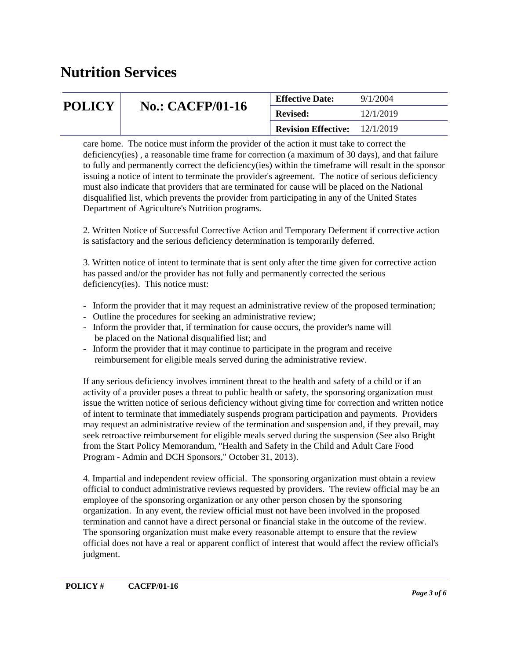| <b>POLICY</b> | <b>No.: CACFP/01-16</b> | <b>Effective Date:</b>     | 9/1/2004  |
|---------------|-------------------------|----------------------------|-----------|
|               |                         | <b>Revised:</b>            | 12/1/2019 |
|               |                         | <b>Revision Effective:</b> | 12/1/2019 |

care home. The notice must inform the provider of the action it must take to correct the deficiency(ies) , a reasonable time frame for correction (a maximum of 30 days), and that failure to fully and permanently correct the deficiency(ies) within the timeframe will result in the sponsor issuing a notice of intent to terminate the provider's agreement. The notice of serious deficiency must also indicate that providers that are terminated for cause will be placed on the National disqualified list, which prevents the provider from participating in any of the United States Department of Agriculture's Nutrition programs.

2. Written Notice of Successful Corrective Action and Temporary Deferment if corrective action is satisfactory and the serious deficiency determination is temporarily deferred.

3. Written notice of intent to terminate that is sent only after the time given for corrective action has passed and/or the provider has not fully and permanently corrected the serious deficiency(ies). This notice must:

- Inform the provider that it may request an administrative review of the proposed termination;
- Outline the procedures for seeking an administrative review;
- Inform the provider that, if termination for cause occurs, the provider's name will be placed on the National disqualified list; and
- Inform the provider that it may continue to participate in the program and receive reimbursement for eligible meals served during the administrative review.

If any serious deficiency involves imminent threat to the health and safety of a child or if an activity of a provider poses a threat to public health or safety, the sponsoring organization must issue the written notice of serious deficiency without giving time for correction and written notice of intent to terminate that immediately suspends program participation and payments. Providers may request an administrative review of the termination and suspension and, if they prevail, may seek retroactive reimbursement for eligible meals served during the suspension (See also Bright from the Start Policy Memorandum, "Health and Safety in the Child and Adult Care Food Program - Admin and DCH Sponsors," October 31, 2013).

4. Impartial and independent review official. The sponsoring organization must obtain a review official to conduct administrative reviews requested by providers. The review official may be an employee of the sponsoring organization or any other person chosen by the sponsoring organization. In any event, the review official must not have been involved in the proposed termination and cannot have a direct personal or financial stake in the outcome of the review. The sponsoring organization must make every reasonable attempt to ensure that the review official does not have a real or apparent conflict of interest that would affect the review official's judgment.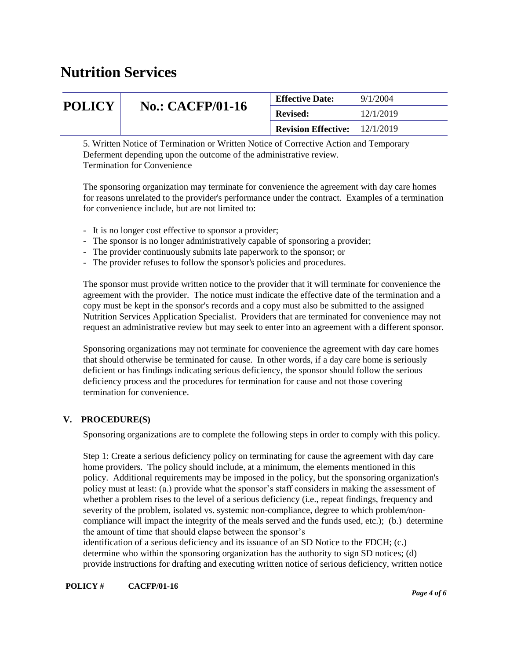| <b>POLICY</b>   | <b>No.: CACFP/01-16</b> | <b>Effective Date:</b>               | 9/1/2004  |
|-----------------|-------------------------|--------------------------------------|-----------|
|                 |                         | <b>Revised:</b>                      | 12/1/2019 |
|                 |                         | <b>Revision Effective:</b> 12/1/2019 |           |
| _ _ _ _ _ _ _ _ | $\sim$ $\sim$           |                                      |           |

5. Written Notice of Termination or Written Notice of Corrective Action and Temporary Deferment depending upon the outcome of the administrative review. Termination for Convenience

The sponsoring organization may terminate for convenience the agreement with day care homes for reasons unrelated to the provider's performance under the contract. Examples of a termination for convenience include, but are not limited to:

- It is no longer cost effective to sponsor a provider;
- The sponsor is no longer administratively capable of sponsoring a provider;
- The provider continuously submits late paperwork to the sponsor; or
- The provider refuses to follow the sponsor's policies and procedures.

The sponsor must provide written notice to the provider that it will terminate for convenience the agreement with the provider. The notice must indicate the effective date of the termination and a copy must be kept in the sponsor's records and a copy must also be submitted to the assigned Nutrition Services Application Specialist. Providers that are terminated for convenience may not request an administrative review but may seek to enter into an agreement with a different sponsor.

Sponsoring organizations may not terminate for convenience the agreement with day care homes that should otherwise be terminated for cause. In other words, if a day care home is seriously deficient or has findings indicating serious deficiency, the sponsor should follow the serious deficiency process and the procedures for termination for cause and not those covering termination for convenience.

### **V. PROCEDURE(S)**

Sponsoring organizations are to complete the following steps in order to comply with this policy.

Step 1: Create a serious deficiency policy on terminating for cause the agreement with day care home providers. The policy should include, at a minimum, the elements mentioned in this policy. Additional requirements may be imposed in the policy, but the sponsoring organization's policy must at least: (a.) provide what the sponsor's staff considers in making the assessment of whether a problem rises to the level of a serious deficiency (i.e., repeat findings, frequency and severity of the problem, isolated vs. systemic non-compliance, degree to which problem/noncompliance will impact the integrity of the meals served and the funds used, etc.); (b.) determine the amount of time that should elapse between the sponsor's

identification of a serious deficiency and its issuance of an SD Notice to the FDCH; (c.) determine who within the sponsoring organization has the authority to sign SD notices; (d) provide instructions for drafting and executing written notice of serious deficiency, written notice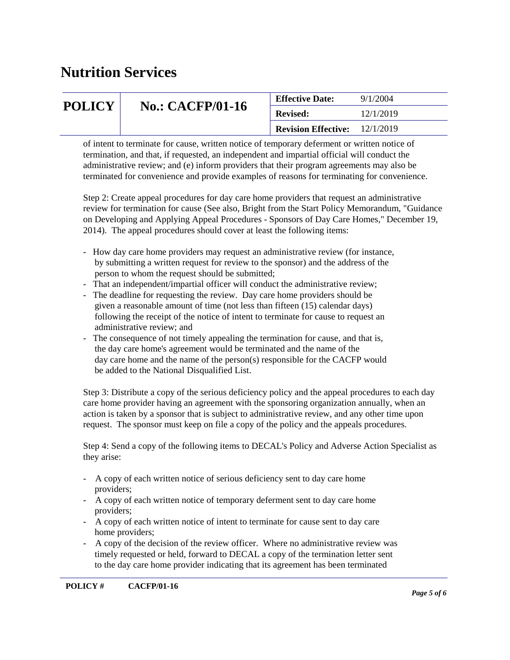| <b>POLICY</b> | <b>No.: CACFP/01-16</b> | <b>Effective Date:</b>     | 9/1/2004  |
|---------------|-------------------------|----------------------------|-----------|
|               |                         | <b>Revised:</b>            | 12/1/2019 |
|               |                         | <b>Revision Effective:</b> | 12/1/2019 |

of intent to terminate for cause, written notice of temporary deferment or written notice of termination, and that, if requested, an independent and impartial official will conduct the administrative review; and (e) inform providers that their program agreements may also be terminated for convenience and provide examples of reasons for terminating for convenience.

Step 2: Create appeal procedures for day care home providers that request an administrative review for termination for cause (See also, Bright from the Start Policy Memorandum, "Guidance on Developing and Applying Appeal Procedures - Sponsors of Day Care Homes," December 19, 2014). The appeal procedures should cover at least the following items:

- How day care home providers may request an administrative review (for instance, by submitting a written request for review to the sponsor) and the address of the person to whom the request should be submitted;
- That an independent/impartial officer will conduct the administrative review;
- The deadline for requesting the review. Day care home providers should be given a reasonable amount of time (not less than fifteen (15) calendar days) following the receipt of the notice of intent to terminate for cause to request an administrative review; and
- The consequence of not timely appealing the termination for cause, and that is, the day care home's agreement would be terminated and the name of the day care home and the name of the person(s) responsible for the CACFP would be added to the National Disqualified List.

Step 3: Distribute a copy of the serious deficiency policy and the appeal procedures to each day care home provider having an agreement with the sponsoring organization annually, when an action is taken by a sponsor that is subject to administrative review, and any other time upon request. The sponsor must keep on file a copy of the policy and the appeals procedures.

Step 4: Send a copy of the following items to DECAL's Policy and Adverse Action Specialist as they arise:

- A copy of each written notice of serious deficiency sent to day care home providers;
- A copy of each written notice of temporary deferment sent to day care home providers;
- A copy of each written notice of intent to terminate for cause sent to day care home providers;
- A copy of the decision of the review officer. Where no administrative review was timely requested or held, forward to DECAL a copy of the termination letter sent to the day care home provider indicating that its agreement has been terminated